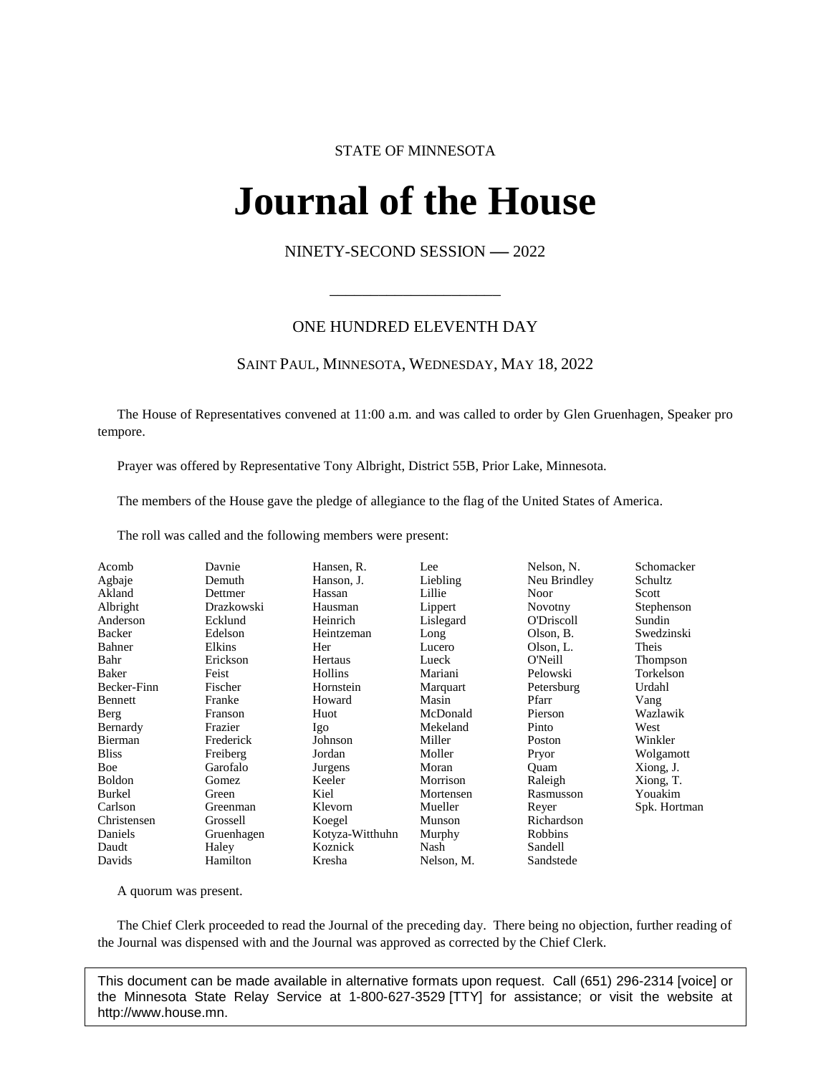# STATE OF MINNESOTA

# **Journal of the House IFINAL OL UNE FIOI**<br>NINETY-SECOND SESSION -- 2022

# ONE HUNDRED ELEVENTH DAY

\_\_\_\_\_\_\_\_\_\_\_\_\_\_\_\_\_\_\_\_\_

## SAINT PAUL, MINNESOTA, WEDNESDAY, MAY 18, 2022

The House of Representatives convened at 11:00 a.m. and was called to order by Glen Gruenhagen, Speaker pro tempore.

Prayer was offered by Representative Tony Albright, District 55B, Prior Lake, Minnesota.

The members of the House gave the pledge of allegiance to the flag of the United States of America.

The roll was called and the following members were present:

| Acomb         | Davnie     | Hansen, R.      | Lee        | Nelson, N.     | Schomacker   |
|---------------|------------|-----------------|------------|----------------|--------------|
| Agbaje        | Demuth     | Hanson, J.      | Liebling   | Neu Brindley   | Schultz      |
| Akland        | Dettmer    | Hassan          | Lillie     | Noor           | Scott        |
| Albright      | Drazkowski | Hausman         | Lippert    | <b>Novotny</b> | Stephenson   |
| Anderson      | Ecklund    | Heinrich        | Lislegard  | O'Driscoll     | Sundin       |
| Backer        | Edelson    | Heintzeman      | Long       | Olson, B.      | Swedzinski   |
| Bahner        | Elkins     | Her             | Lucero     | Olson, L.      | Theis        |
| Bahr          | Erickson   | Hertaus         | Lueck      | O'Neill        | Thompson     |
| Baker         | Feist      | Hollins         | Mariani    | Pelowski       | Torkelson    |
| Becker-Finn   | Fischer    | Hornstein       | Marquart   | Petersburg     | Urdahl       |
| Bennett       | Franke     | Howard          | Masin      | Pfarr          | Vang         |
| Berg          | Franson    | Huot            | McDonald   | Pierson        | Wazlawik     |
| Bernardy      | Frazier    | Igo             | Mekeland   | Pinto          | West         |
| Bierman       | Frederick  | Johnson         | Miller     | Poston         | Winkler      |
| <b>Bliss</b>  | Freiberg   | Jordan          | Moller     | Pryor          | Wolgamott    |
| Boe           | Garofalo   | Jurgens         | Moran      | Quam           | Xiong, J.    |
| <b>Boldon</b> | Gomez      | Keeler          | Morrison   | Raleigh        | Xiong, T.    |
| Burkel        | Green      | Kiel            | Mortensen  | Rasmusson      | Youakim      |
| Carlson       | Greenman   | Klevorn         | Mueller    | Reyer          | Spk. Hortman |
| Christensen   | Grossell   | Koegel          | Munson     | Richardson     |              |
| Daniels       | Gruenhagen | Kotyza-Witthuhn | Murphy     | Robbins        |              |
| Daudt         | Haley      | Koznick         | Nash       | Sandell        |              |
| Davids        | Hamilton   | Kresha          | Nelson, M. | Sandstede      |              |

A quorum was present.

The Chief Clerk proceeded to read the Journal of the preceding day. There being no objection, further reading of the Journal was dispensed with and the Journal was approved as corrected by the Chief Clerk.

This document can be made available in alternative formats upon request. Call (651) 296-2314 [voice] or the Minnesota State Relay Service at 1-800-627-3529 [TTY] for assistance; or visit the website at http://www.house.mn.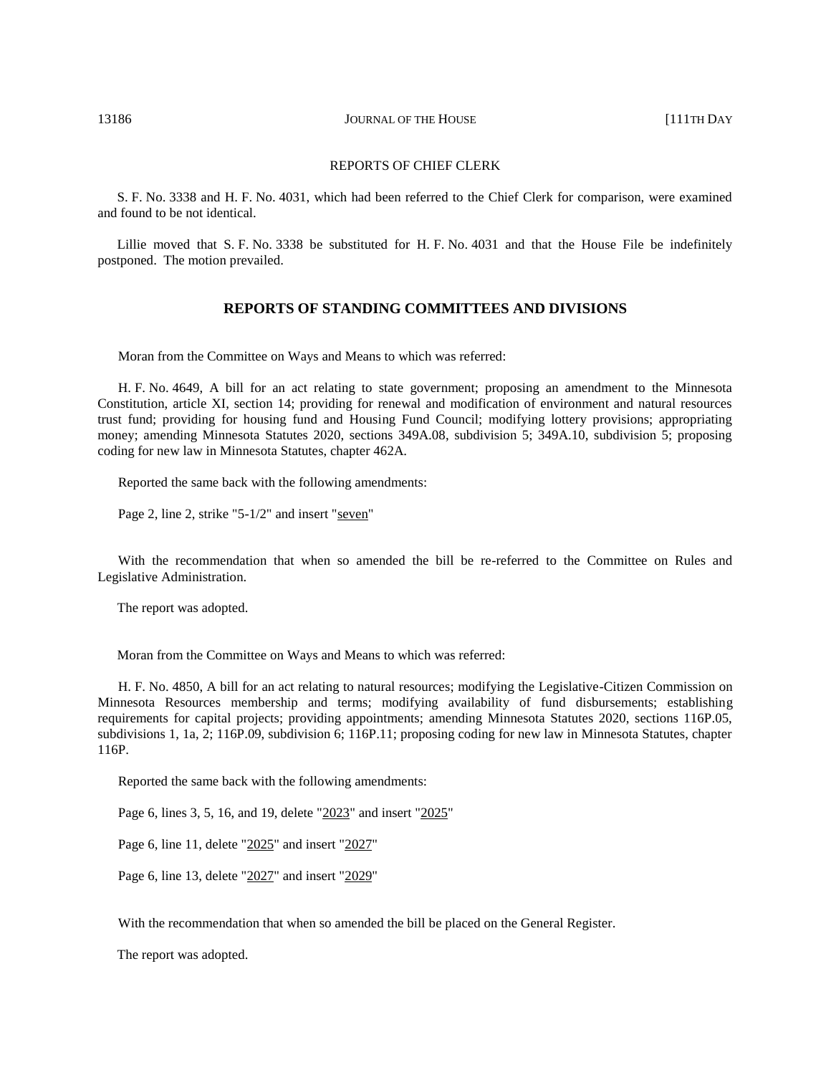13186 **JOURNAL OF THE HOUSE** [111TH DAY

#### REPORTS OF CHIEF CLERK

S. F. No. 3338 and H. F. No. 4031, which had been referred to the Chief Clerk for comparison, were examined and found to be not identical.

Lillie moved that S. F. No. 3338 be substituted for H. F. No. 4031 and that the House File be indefinitely postponed. The motion prevailed.

#### **REPORTS OF STANDING COMMITTEES AND DIVISIONS**

Moran from the Committee on Ways and Means to which was referred:

H. F. No. 4649, A bill for an act relating to state government; proposing an amendment to the Minnesota Constitution, article XI, section 14; providing for renewal and modification of environment and natural resources trust fund; providing for housing fund and Housing Fund Council; modifying lottery provisions; appropriating money; amending Minnesota Statutes 2020, sections 349A.08, subdivision 5; 349A.10, subdivision 5; proposing coding for new law in Minnesota Statutes, chapter 462A.

Reported the same back with the following amendments:

Page 2, line 2, strike "5-1/2" and insert "seven"

With the recommendation that when so amended the bill be re-referred to the Committee on Rules and Legislative Administration.

The report was adopted.

Moran from the Committee on Ways and Means to which was referred:

H. F. No. 4850, A bill for an act relating to natural resources; modifying the Legislative-Citizen Commission on Minnesota Resources membership and terms; modifying availability of fund disbursements; establishing requirements for capital projects; providing appointments; amending Minnesota Statutes 2020, sections 116P.05, subdivisions 1, 1a, 2; 116P.09, subdivision 6; 116P.11; proposing coding for new law in Minnesota Statutes, chapter 116P.

Reported the same back with the following amendments:

Page 6, lines 3, 5, 16, and 19, delete "2023" and insert "2025"

Page 6, line 11, delete "2025" and insert "2027"

Page 6, line 13, delete "2027" and insert "2029"

With the recommendation that when so amended the bill be placed on the General Register.

The report was adopted.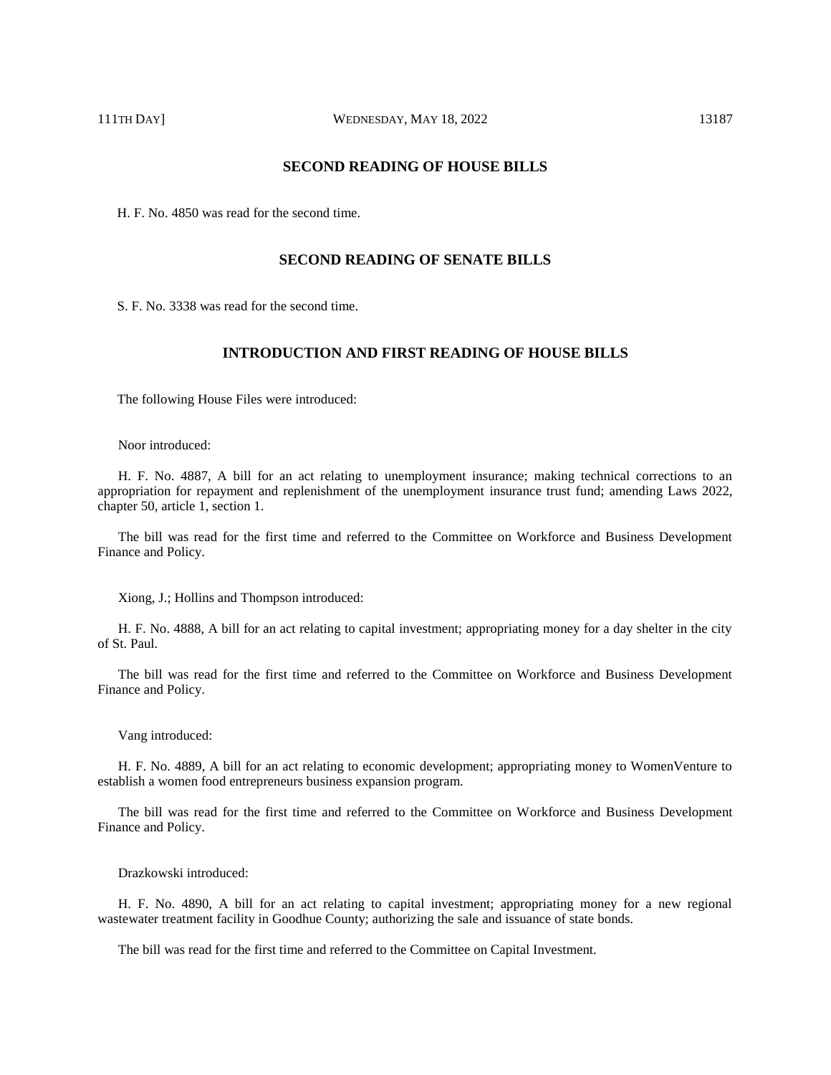# **SECOND READING OF HOUSE BILLS**

H. F. No. 4850 was read for the second time.

## **SECOND READING OF SENATE BILLS**

S. F. No. 3338 was read for the second time.

# **INTRODUCTION AND FIRST READING OF HOUSE BILLS**

The following House Files were introduced:

Noor introduced:

H. F. No. 4887, A bill for an act relating to unemployment insurance; making technical corrections to an appropriation for repayment and replenishment of the unemployment insurance trust fund; amending Laws 2022, chapter 50, article 1, section 1.

The bill was read for the first time and referred to the Committee on Workforce and Business Development Finance and Policy.

Xiong, J.; Hollins and Thompson introduced:

H. F. No. 4888, A bill for an act relating to capital investment; appropriating money for a day shelter in the city of St. Paul.

The bill was read for the first time and referred to the Committee on Workforce and Business Development Finance and Policy.

#### Vang introduced:

H. F. No. 4889, A bill for an act relating to economic development; appropriating money to WomenVenture to establish a women food entrepreneurs business expansion program.

The bill was read for the first time and referred to the Committee on Workforce and Business Development Finance and Policy.

#### Drazkowski introduced:

H. F. No. 4890, A bill for an act relating to capital investment; appropriating money for a new regional wastewater treatment facility in Goodhue County; authorizing the sale and issuance of state bonds.

The bill was read for the first time and referred to the Committee on Capital Investment.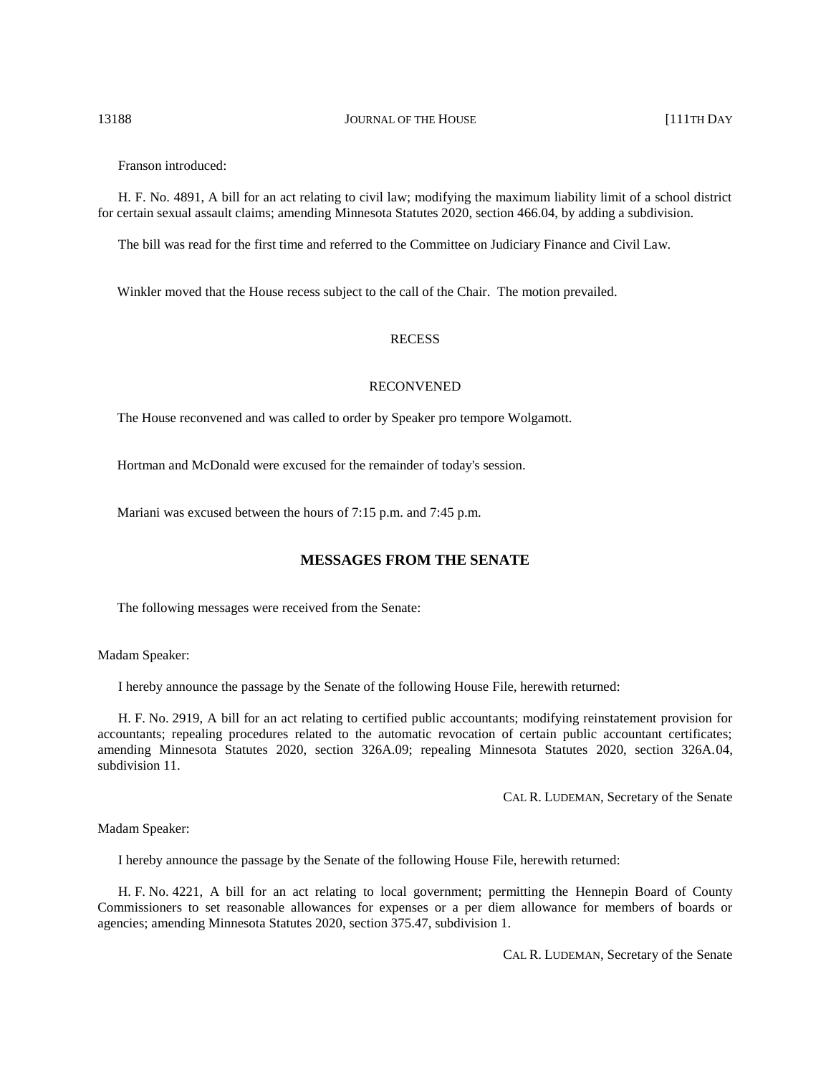#### 13188 **JOURNAL OF THE HOUSE** [111TH DAY

Franson introduced:

H. F. No. 4891, A bill for an act relating to civil law; modifying the maximum liability limit of a school district for certain sexual assault claims; amending Minnesota Statutes 2020, section 466.04, by adding a subdivision.

The bill was read for the first time and referred to the Committee on Judiciary Finance and Civil Law.

Winkler moved that the House recess subject to the call of the Chair. The motion prevailed.

#### RECESS

#### RECONVENED

The House reconvened and was called to order by Speaker pro tempore Wolgamott.

Hortman and McDonald were excused for the remainder of today's session.

Mariani was excused between the hours of 7:15 p.m. and 7:45 p.m.

# **MESSAGES FROM THE SENATE**

The following messages were received from the Senate:

Madam Speaker:

I hereby announce the passage by the Senate of the following House File, herewith returned:

H. F. No. 2919, A bill for an act relating to certified public accountants; modifying reinstatement provision for accountants; repealing procedures related to the automatic revocation of certain public accountant certificates; amending Minnesota Statutes 2020, section 326A.09; repealing Minnesota Statutes 2020, section 326A.04, subdivision 11

CAL R. LUDEMAN, Secretary of the Senate

Madam Speaker:

I hereby announce the passage by the Senate of the following House File, herewith returned:

H. F. No. 4221, A bill for an act relating to local government; permitting the Hennepin Board of County Commissioners to set reasonable allowances for expenses or a per diem allowance for members of boards or agencies; amending Minnesota Statutes 2020, section 375.47, subdivision 1.

CAL R. LUDEMAN, Secretary of the Senate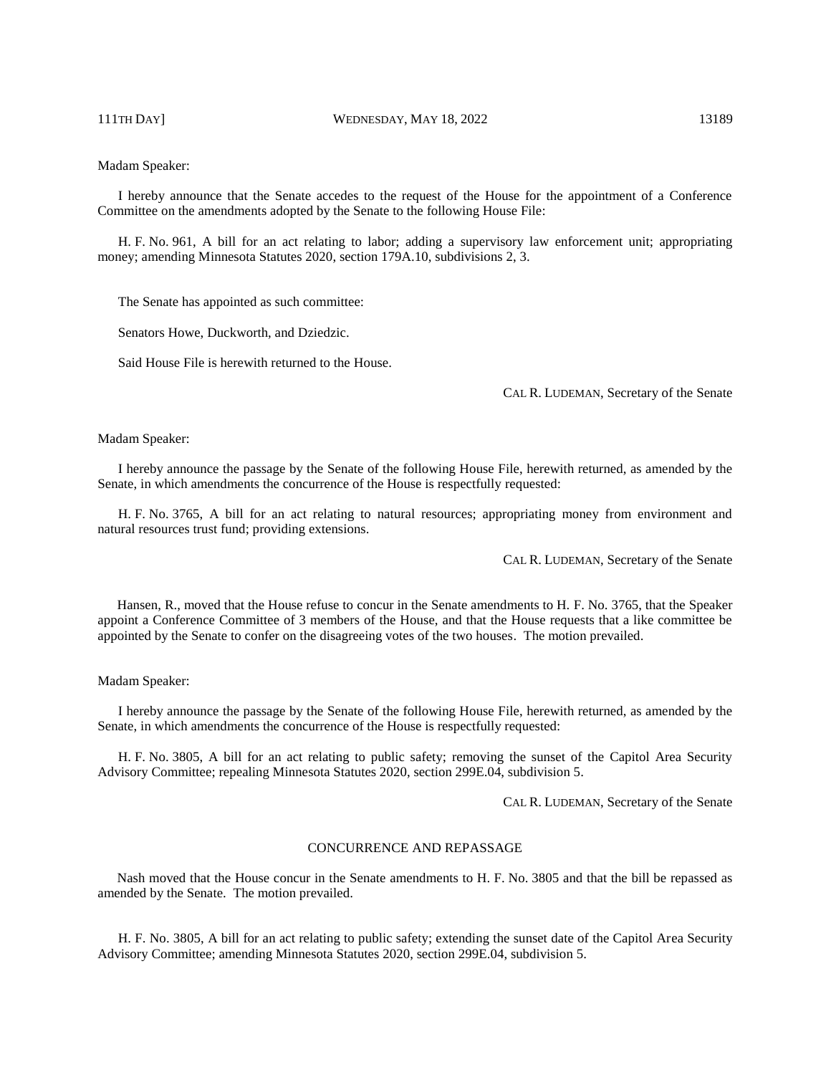111TH DAY] WEDNESDAY, MAY 18, 2022 13189

#### Madam Speaker:

I hereby announce that the Senate accedes to the request of the House for the appointment of a Conference Committee on the amendments adopted by the Senate to the following House File:

H. F. No. 961, A bill for an act relating to labor; adding a supervisory law enforcement unit; appropriating money; amending Minnesota Statutes 2020, section 179A.10, subdivisions 2, 3.

The Senate has appointed as such committee:

Senators Howe, Duckworth, and Dziedzic.

Said House File is herewith returned to the House.

CAL R. LUDEMAN, Secretary of the Senate

#### Madam Speaker:

I hereby announce the passage by the Senate of the following House File, herewith returned, as amended by the Senate, in which amendments the concurrence of the House is respectfully requested:

H. F. No. 3765, A bill for an act relating to natural resources; appropriating money from environment and natural resources trust fund; providing extensions.

CAL R. LUDEMAN, Secretary of the Senate

Hansen, R., moved that the House refuse to concur in the Senate amendments to H. F. No. 3765, that the Speaker appoint a Conference Committee of 3 members of the House, and that the House requests that a like committee be appointed by the Senate to confer on the disagreeing votes of the two houses. The motion prevailed.

#### Madam Speaker:

I hereby announce the passage by the Senate of the following House File, herewith returned, as amended by the Senate, in which amendments the concurrence of the House is respectfully requested:

H. F. No. 3805, A bill for an act relating to public safety; removing the sunset of the Capitol Area Security Advisory Committee; repealing Minnesota Statutes 2020, section 299E.04, subdivision 5.

CAL R. LUDEMAN, Secretary of the Senate

#### CONCURRENCE AND REPASSAGE

Nash moved that the House concur in the Senate amendments to H. F. No. 3805 and that the bill be repassed as amended by the Senate. The motion prevailed.

H. F. No. 3805, A bill for an act relating to public safety; extending the sunset date of the Capitol Area Security Advisory Committee; amending Minnesota Statutes 2020, section 299E.04, subdivision 5.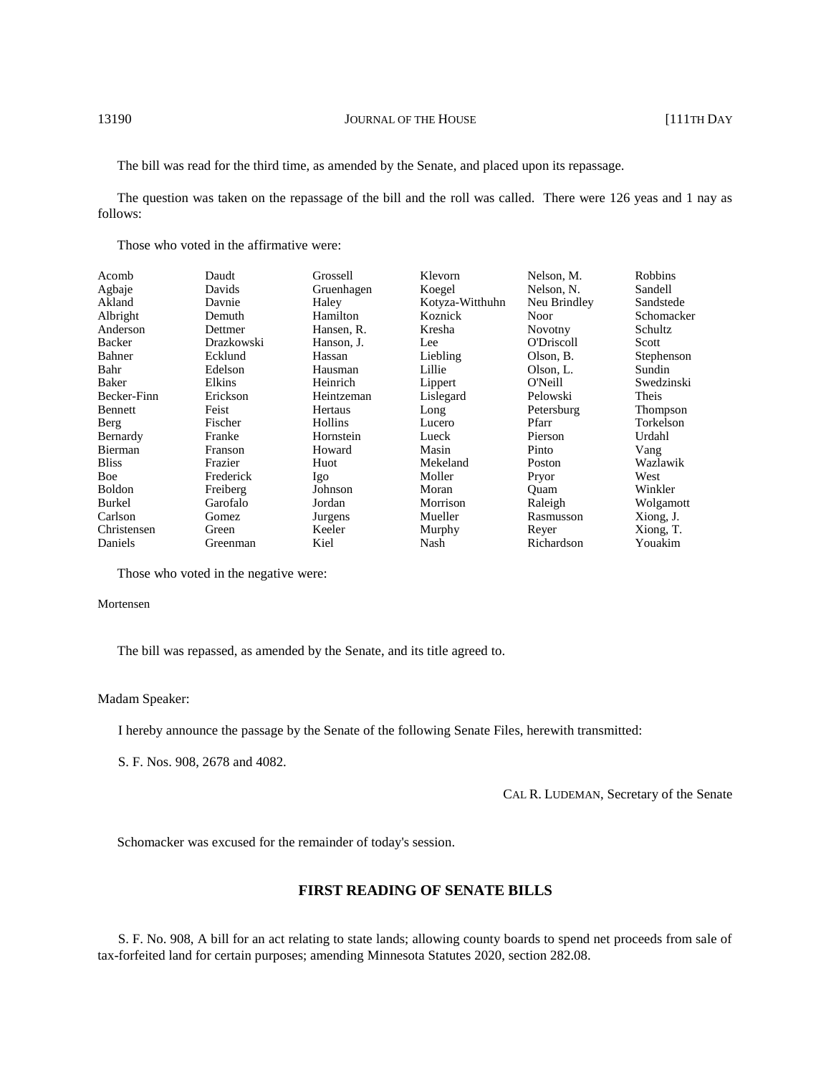The bill was read for the third time, as amended by the Senate, and placed upon its repassage.

The question was taken on the repassage of the bill and the roll was called. There were 126 yeas and 1 nay as follows:

Those who voted in the affirmative were:

| Acomb         | Daudt      | Grossell   | Klevorn         | Nelson, M.     | <b>Robbins</b> |
|---------------|------------|------------|-----------------|----------------|----------------|
| Agbaje        | Davids     | Gruenhagen | Koegel          | Nelson, N.     | Sandell        |
| Akland        | Davnie     | Haley      | Kotyza-Witthuhn | Neu Brindley   | Sandstede      |
| Albright      | Demuth     | Hamilton   | Koznick         | <b>Noor</b>    | Schomacker     |
| Anderson      | Dettmer    | Hansen, R. | Kresha          | <b>Novotny</b> | Schultz        |
| Backer        | Drazkowski | Hanson, J. | Lee             | O'Driscoll     | Scott          |
| Bahner        | Ecklund    | Hassan     | Liebling        | Olson, B.      | Stephenson     |
| Bahr          | Edelson    | Hausman    | Lillie          | Olson, L.      | Sundin         |
| Baker         | Elkins     | Heinrich   | Lippert         | O'Neill        | Swedzinski     |
| Becker-Finn   | Erickson   | Heintzeman | Lislegard       | Pelowski       | Theis          |
| Bennett       | Feist      | Hertaus    | Long            | Petersburg     | Thompson       |
| Berg          | Fischer    | Hollins    | Lucero          | Pfarr          | Torkelson      |
| Bernardy      | Franke     | Hornstein  | Lueck           | Pierson        | Urdahl         |
| Bierman       | Franson    | Howard     | Masin           | Pinto          | Vang           |
| <b>Bliss</b>  | Frazier    | Huot       | Mekeland        | Poston         | Wazlawik       |
| Boe           | Frederick  | Igo        | Moller          | Pryor          | West           |
| <b>Boldon</b> | Freiberg   | Johnson    | Moran           | Ouam           | Winkler        |
| Burkel        | Garofalo   | Jordan     | Morrison        | Raleigh        | Wolgamott      |
| Carlson       | Gomez      | Jurgens    | Mueller         | Rasmusson      | Xiong, J.      |
| Christensen   | Green      | Keeler     | Murphy          | Reyer          | Xiong, T.      |
| Daniels       | Greenman   | Kiel       | Nash            | Richardson     | Youakim        |

Those who voted in the negative were:

#### Mortensen

The bill was repassed, as amended by the Senate, and its title agreed to.

#### Madam Speaker:

I hereby announce the passage by the Senate of the following Senate Files, herewith transmitted:

S. F. Nos. 908, 2678 and 4082.

CAL R. LUDEMAN, Secretary of the Senate

Schomacker was excused for the remainder of today's session.

# **FIRST READING OF SENATE BILLS**

S. F. No. 908, A bill for an act relating to state lands; allowing county boards to spend net proceeds from sale of tax-forfeited land for certain purposes; amending Minnesota Statutes 2020, section 282.08.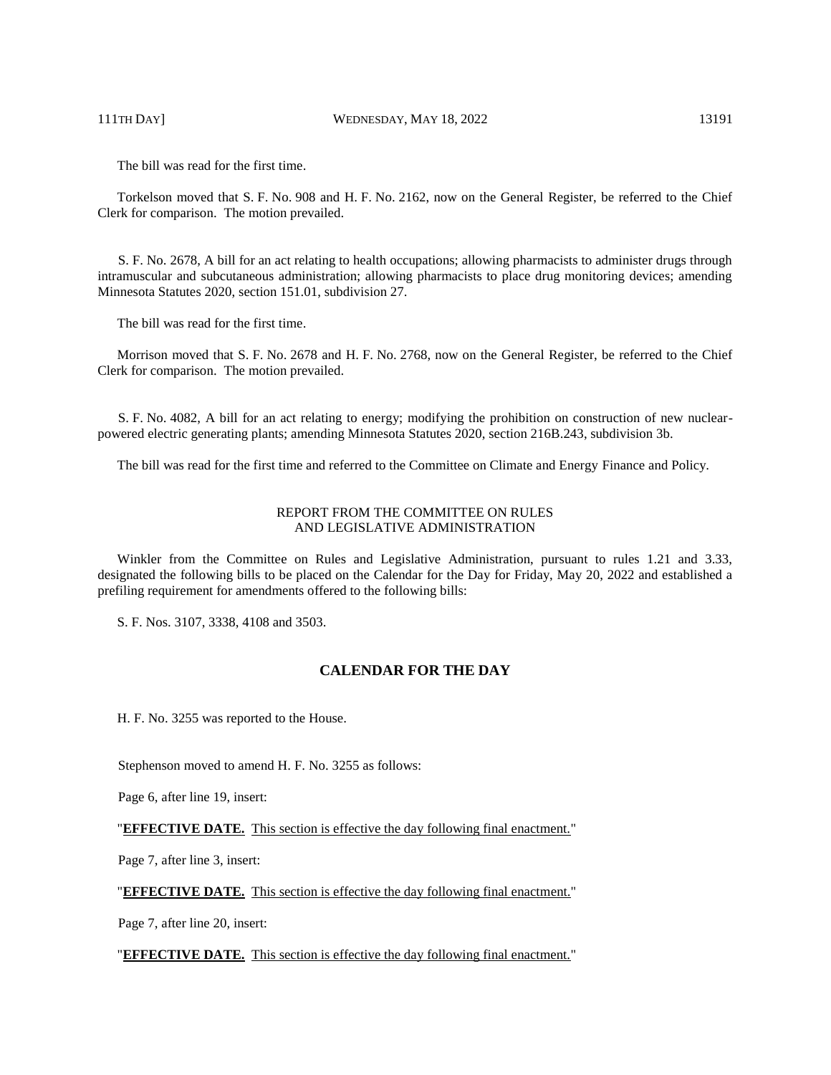111TH DAY] WEDNESDAY, MAY 18, 2022 13191

The bill was read for the first time.

Torkelson moved that S. F. No. 908 and H. F. No. 2162, now on the General Register, be referred to the Chief Clerk for comparison. The motion prevailed.

S. F. No. 2678, A bill for an act relating to health occupations; allowing pharmacists to administer drugs through intramuscular and subcutaneous administration; allowing pharmacists to place drug monitoring devices; amending Minnesota Statutes 2020, section 151.01, subdivision 27.

The bill was read for the first time.

Morrison moved that S. F. No. 2678 and H. F. No. 2768, now on the General Register, be referred to the Chief Clerk for comparison. The motion prevailed.

S. F. No. 4082, A bill for an act relating to energy; modifying the prohibition on construction of new nuclearpowered electric generating plants; amending Minnesota Statutes 2020, section 216B.243, subdivision 3b.

The bill was read for the first time and referred to the Committee on Climate and Energy Finance and Policy.

## REPORT FROM THE COMMITTEE ON RULES AND LEGISLATIVE ADMINISTRATION

Winkler from the Committee on Rules and Legislative Administration, pursuant to rules 1.21 and 3.33, designated the following bills to be placed on the Calendar for the Day for Friday, May 20, 2022 and established a prefiling requirement for amendments offered to the following bills:

S. F. Nos. 3107, 3338, 4108 and 3503.

# **CALENDAR FOR THE DAY**

H. F. No. 3255 was reported to the House.

Stephenson moved to amend H. F. No. 3255 as follows:

Page 6, after line 19, insert:

"**EFFECTIVE DATE.** This section is effective the day following final enactment."

Page 7, after line 3, insert:

"**EFFECTIVE DATE.** This section is effective the day following final enactment."

Page 7, after line 20, insert:

"**EFFECTIVE DATE.** This section is effective the day following final enactment."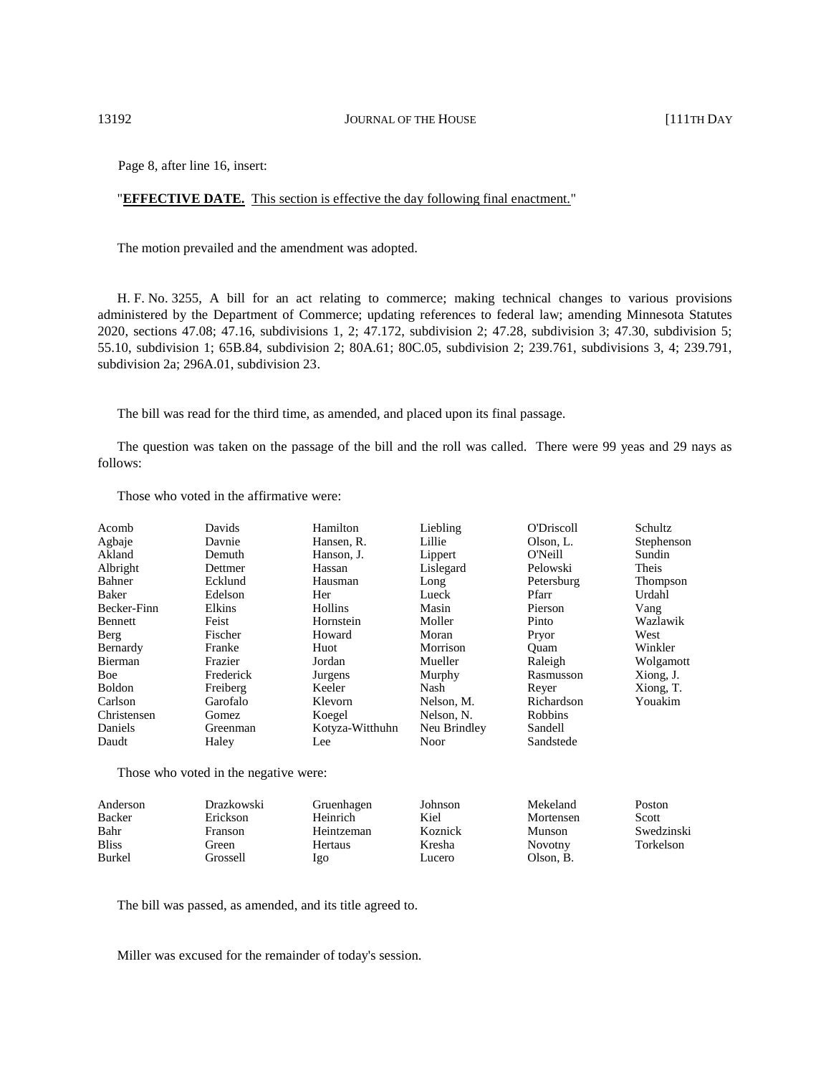Page 8, after line 16, insert:

#### "**EFFECTIVE DATE.** This section is effective the day following final enactment."

The motion prevailed and the amendment was adopted.

H. F. No. 3255, A bill for an act relating to commerce; making technical changes to various provisions administered by the Department of Commerce; updating references to federal law; amending Minnesota Statutes 2020, sections 47.08; 47.16, subdivisions 1, 2; 47.172, subdivision 2; 47.28, subdivision 3; 47.30, subdivision 5; 55.10, subdivision 1; 65B.84, subdivision 2; 80A.61; 80C.05, subdivision 2; 239.761, subdivisions 3, 4; 239.791, subdivision 2a; 296A.01, subdivision 23.

The bill was read for the third time, as amended, and placed upon its final passage.

The question was taken on the passage of the bill and the roll was called. There were 99 yeas and 29 nays as follows:

Those who voted in the affirmative were: Acomb Agbaje Akland Albright Bahner Baker Becker-Finn Bennett Berg Bernardy Bierman Boe Boldon Carlson Christensen Daniels Daudt Davids Davnie Demuth Dettmer Ecklund Edelson Elkins Feist Fischer Franke Frazier Frederick Freiberg Garofalo Gomez Greenman Haley Hamilton Hansen, R. Hanson, J. Hassan Hausman Her Hollins Hornstein Howard Huot Jordan Jurgens Keeler Klevorn Koegel Kotyza-Witthuhn Lee Liebling Lillie Lippert Lislegard Long Lueck Masin Moller Moran Morrison Mueller Murphy Nash Nelson, M. Nelson, N. Neu Brindley Noor O'Driscoll Olson, L. O'Neill Pelowski Petersburg Pfarr Pierson Pinto Pryor Quam Raleigh Rasmusson Reyer Richardson Robbins Sandell Sandstede Schultz Stephenson Sundin Theis Thompson Urdahl Vang Wazlawik West Winkler Wolgamott Xiong, J. Xiong, T. Youakim

Those who voted in the negative were:

| Anderson     | Drazkowski | Gruenhagen | Johnson | Mekeland  | Poston     |
|--------------|------------|------------|---------|-----------|------------|
| Backer       | Erickson   | Heinrich   | Kiel    | Mortensen | Scott      |
| Bahr         | Franson    | Heintzeman | Koznick | Munson    | Swedzinski |
| <b>Bliss</b> | Green)     | Hertaus    | Kresha  | Novotny   | Torkelson  |
| Burkel       | Grossell   | lgo        | Lucero  | Olson, B. |            |
|              |            |            |         |           |            |

The bill was passed, as amended, and its title agreed to.

Miller was excused for the remainder of today's session.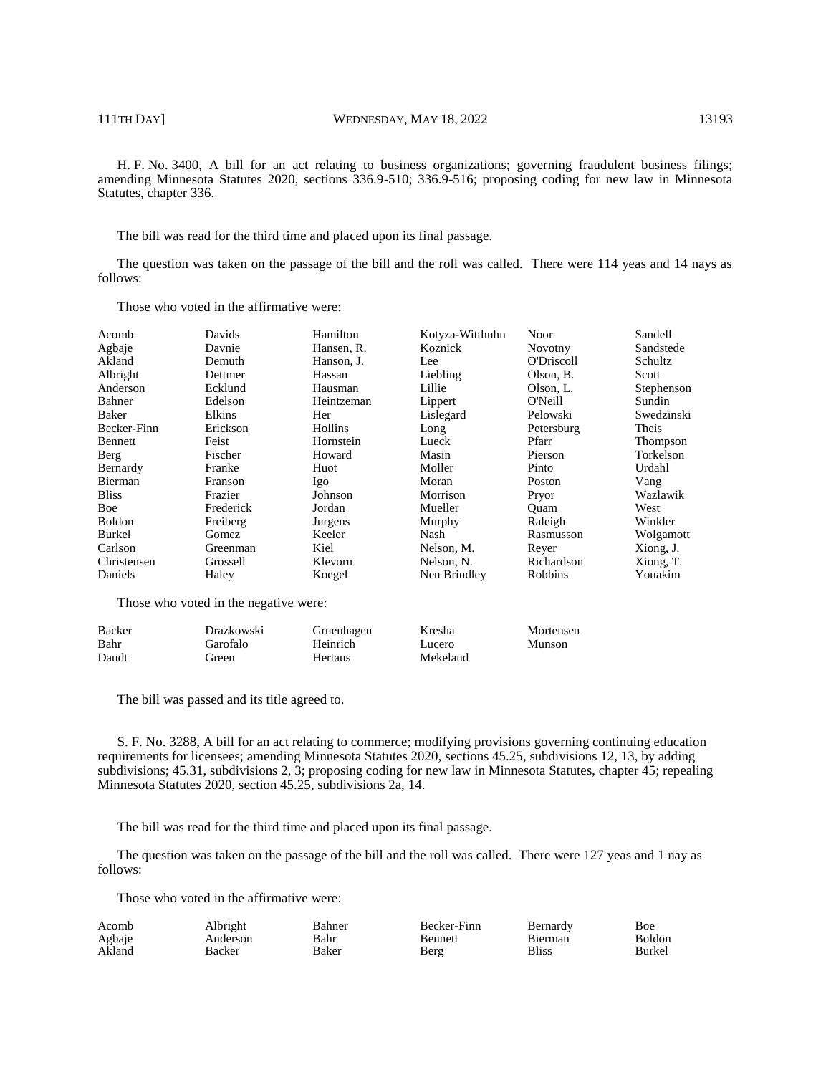H. F. No. 3400, A bill for an act relating to business organizations; governing fraudulent business filings; amending Minnesota Statutes 2020, sections 336.9-510; 336.9-516; proposing coding for new law in Minnesota Statutes, chapter 336.

The bill was read for the third time and placed upon its final passage.

The question was taken on the passage of the bill and the roll was called. There were 114 yeas and 14 nays as follows:

Those who voted in the affirmative were:

| Acomb                           | Davids    | Hamilton   | Kotyza-Witthuhn | <b>Noor</b>    | Sandell    |
|---------------------------------|-----------|------------|-----------------|----------------|------------|
| Agbaje                          | Davnie    | Hansen, R. | Koznick         | <b>Novotny</b> | Sandstede  |
| Akland                          | Demuth    | Hanson, J. | Lee             | O'Driscoll     | Schultz    |
| Albright                        | Dettmer   | Hassan     | Liebling        | Olson, B.      | Scott      |
| Anderson                        | Ecklund   | Hausman    | Lillie          | Olson, L.      | Stephenson |
| Bahner                          | Edelson   | Heintzeman | Lippert         | O'Neill        | Sundin     |
| Baker                           | Elkins    | Her        | Lislegard       | Pelowski       | Swedzinski |
| Becker-Finn                     | Erickson  | Hollins    | Long            | Petersburg     | Theis      |
| Bennett                         | Feist     | Hornstein  | Lueck           | Pfarr          | Thompson   |
| Berg                            | Fischer   | Howard     | Masin           | Pierson        | Torkelson  |
| Bernardy                        | Franke    | Huot       | Moller          | Pinto          | Urdahl     |
| Bierman                         | Franson   | Igo        | Moran           | <b>Poston</b>  | Vang       |
| <b>Bliss</b>                    | Frazier   | Johnson    | Morrison        | Pryor          | Wazlawik   |
| Boe                             | Frederick | Jordan     | Mueller         | Ouam           | West       |
| <b>Boldon</b>                   | Freiberg  | Jurgens    | Murphy          | Raleigh        | Winkler    |
| Burkel                          | Gomez     | Keeler     | Nash            | Rasmusson      | Wolgamott  |
| Carlson                         | Greenman  | Kiel       | Nelson, M.      | Rever          | Xiong, J.  |
| Christensen                     | Grossell  | Klevorn    | Nelson, N.      | Richardson     | Xiong, T.  |
| Daniels                         | Haley     | Koegel     | Neu Brindley    | Robbins        | Youakim    |
| <b>COMPANY</b><br>$\sim$ $\sim$ | .         |            |                 |                |            |

Those who voted in the negative were:

| Backer | Drazkowski | Gruenhagen | Kresha   | Mortensen |
|--------|------------|------------|----------|-----------|
| Bahr   | Garofalo   | Heinrich   | Lucero   | Munson    |
| Daudt  | freen)     | Hertaus    | Mekeland |           |

The bill was passed and its title agreed to.

S. F. No. 3288, A bill for an act relating to commerce; modifying provisions governing continuing education requirements for licensees; amending Minnesota Statutes 2020, sections 45.25, subdivisions 12, 13, by adding subdivisions; 45.31, subdivisions 2, 3; proposing coding for new law in Minnesota Statutes, chapter 45; repealing Minnesota Statutes 2020, section 45.25, subdivisions 2a, 14.

The bill was read for the third time and placed upon its final passage.

The question was taken on the passage of the bill and the roll was called. There were 127 yeas and 1 nay as follows:

Those who voted in the affirmative were:

| Acomb  | Albright | Bahner | Becker-Finn | Bernardv | Boe    |
|--------|----------|--------|-------------|----------|--------|
| Agbaje | Anderson | Bahr   | Bennett     | Bierman  | Boldon |
| Akland | Backer   | Baker  | Berg        | Bliss    | Burkel |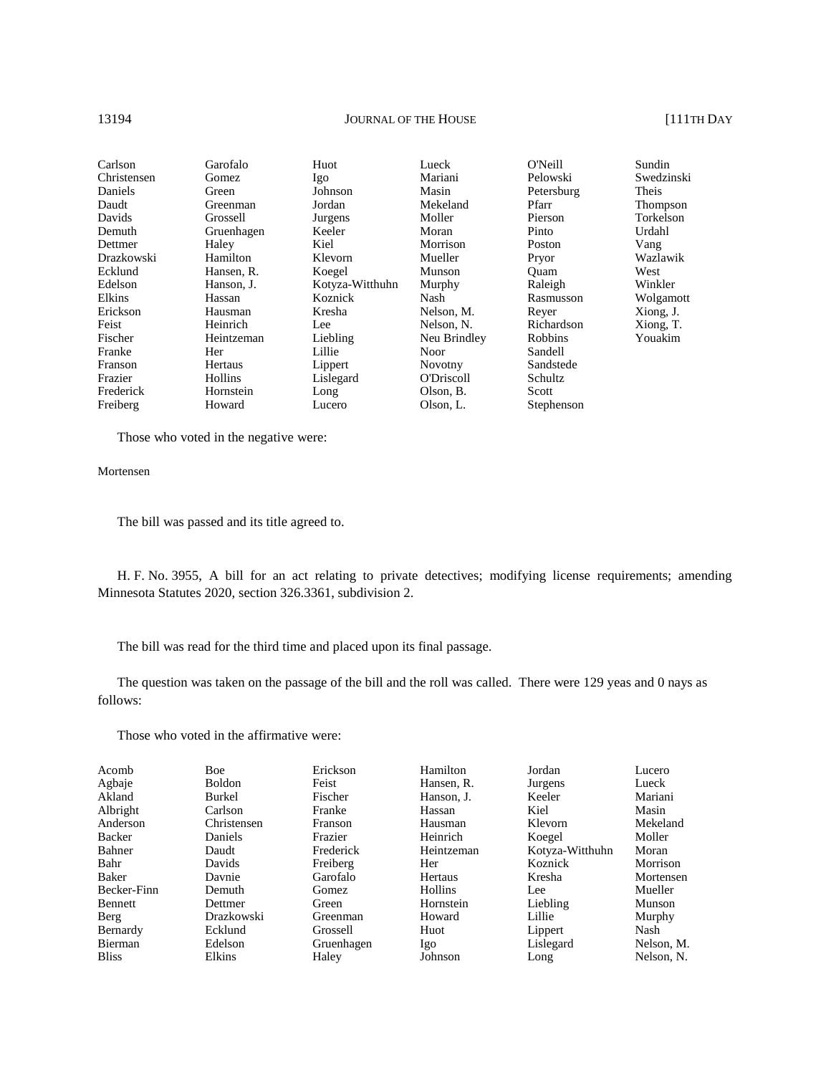#### 13194 **JOURNAL OF THE HOUSE** [111TH DAY

| Carlson     | Garofalo   | Huot            | Lueck             | O'Neill    | Sundin     |
|-------------|------------|-----------------|-------------------|------------|------------|
| Christensen | Gomez      | Igo             | Mariani           | Pelowski   | Swedzinski |
| Daniels     | Green      | Johnson         | Masin             | Petersburg | Theis      |
| Daudt       | Greenman   | Jordan          | Mekeland          | Pfarr      | Thompson   |
| Davids      | Grossell   | Jurgens         | Moller            | Pierson    | Torkelson  |
| Demuth      | Gruenhagen | Keeler          | Moran             | Pinto      | Urdahl     |
| Dettmer     | Haley      | Kiel            | Morrison          | Poston     | Vang       |
| Drazkowski  | Hamilton   | Klevorn         | Mueller           | Pryor      | Wazlawik   |
| Ecklund     | Hansen, R. | Koegel          | Munson            | Ouam       | West       |
| Edelson     | Hanson, J. | Kotyza-Witthuhn | Murphy            | Raleigh    | Winkler    |
| Elkins      | Hassan     | Koznick         | Nash              | Rasmusson  | Wolgamott  |
| Erickson    | Hausman    | Kresha          | Nelson, M.        | Rever      | Xiong, J.  |
| Feist       | Heinrich   | Lee             | Nelson, N.        | Richardson | Xiong, T.  |
| Fischer     | Heintzeman | Liebling        | Neu Brindley      | Robbins    | Youakim    |
| Franke      | Her        | Lillie          | Noor              | Sandell    |            |
| Franson     | Hertaus    | Lippert         | <b>Novotny</b>    | Sandstede  |            |
| Frazier     | Hollins    | Lislegard       | <b>O'Driscoll</b> | Schultz    |            |
| Frederick   | Hornstein  | Long            | Olson, B.         | Scott      |            |
| Freiberg    | Howard     | Lucero          | Olson, L.         | Stephenson |            |

Those who voted in the negative were:

## Mortensen

The bill was passed and its title agreed to.

H. F. No. 3955, A bill for an act relating to private detectives; modifying license requirements; amending Minnesota Statutes 2020, section 326.3361, subdivision 2.

The bill was read for the third time and placed upon its final passage.

The question was taken on the passage of the bill and the roll was called. There were 129 yeas and 0 nays as follows:

Those who voted in the affirmative were:

| Acomb        | <b>Boe</b>    | Erickson   | Hamilton   | Jordan          | Lucero     |
|--------------|---------------|------------|------------|-----------------|------------|
| Agbaje       | <b>Boldon</b> | Feist      | Hansen, R. | Jurgens         | Lueck      |
| Akland       | Burkel        | Fischer    | Hanson. J. | Keeler          | Mariani    |
| Albright     | Carlson       | Franke     | Hassan     | Kiel            | Masin      |
| Anderson     | Christensen   | Franson    | Hausman    | Klevorn         | Mekeland   |
| Backer       | Daniels       | Frazier    | Heinrich   | Koegel          | Moller     |
| Bahner       | Daudt         | Frederick  | Heintzeman | Kotyza-Witthuhn | Moran      |
| Bahr         | Davids        | Freiberg   | Her        | Koznick         | Morrison   |
| Baker        | Davnie        | Garofalo   | Hertaus    | Kresha          | Mortensen  |
| Becker-Finn  | Demuth        | Gomez      | Hollins    | Lee             | Mueller    |
| Bennett      | Dettmer       | Green      | Hornstein  | Liebling        | Munson     |
| Berg         | Drazkowski    | Greenman   | Howard     | Lillie          | Murphy     |
| Bernardy     | Ecklund       | Grossell   | Huot       | Lippert         | Nash       |
| Bierman      | Edelson       | Gruenhagen | Igo        | Lislegard       | Nelson, M. |
| <b>Bliss</b> | Elkins        | Haley      | Johnson    | Long            | Nelson, N. |